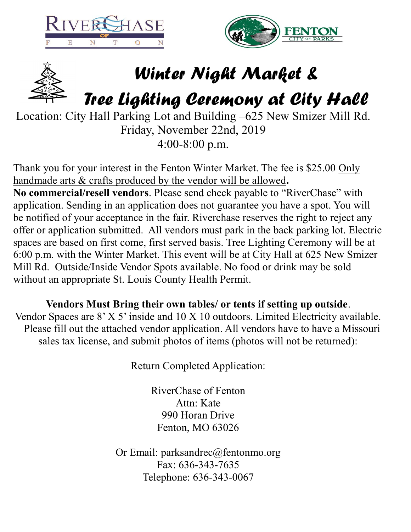





## *Winter Night Market &*

*Tree Lighting Ceremony at City Hall*

Location: City Hall Parking Lot and Building –625 New Smizer Mill Rd. Friday, November 22nd, 2019 4:00-8:00 p.m.

Thank you for your interest in the Fenton Winter Market. The fee is \$25.00 Only handmade arts & crafts produced by the vendor will be allowed**. No commercial/resell vendors**. Please send check payable to "RiverChase" with application. Sending in an application does not guarantee you have a spot. You will be notified of your acceptance in the fair. Riverchase reserves the right to reject any offer or application submitted. All vendors must park in the back parking lot. Electric spaces are based on first come, first served basis. Tree Lighting Ceremony will be at 6:00 p.m. with the Winter Market. This event will be at City Hall at 625 New Smizer Mill Rd. Outside/Inside Vendor Spots available. No food or drink may be sold without an appropriate St. Louis County Health Permit.

**Vendors Must Bring their own tables/ or tents if setting up outside**. Vendor Spaces are 8' X 5' inside and 10 X 10 outdoors. Limited Electricity available. Please fill out the attached vendor application. All vendors have to have a Missouri sales tax license, and submit photos of items (photos will not be returned):

Return Completed Application:

RiverChase of Fenton Attn: Kate 990 Horan Drive Fenton, MO 63026

Or Email: parksandrec@fentonmo.org Fax: 636-343-7635 Telephone: 636-343-0067